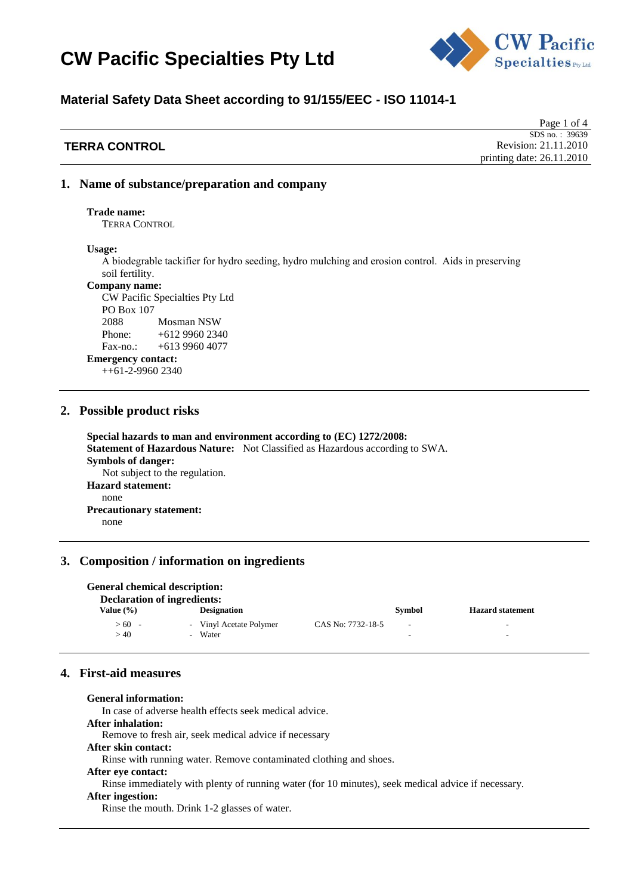

## **Material Safety Data Sheet according to 91/155/EEC - ISO 11014-1**

|                      | Page 1 of 4                 |
|----------------------|-----------------------------|
|                      | SDS no.: 39639              |
| <b>TERRA CONTROL</b> | Revision: 21.11.2010        |
|                      | printing date: $26.11.2010$ |

### **1. Name of substance/preparation and company**

**Trade name:** 

TERRA CONTROL

**Usage:**

A biodegrable tackifier for hydro seeding, hydro mulching and erosion control. Aids in preserving soil fertility.

#### **Company name:**

CW Pacific Specialties Pty Ltd PO Box 107 2088 Mosman NSW Phone: +612 9960 2340 Fax-no.: +613 9960 4077

**Emergency contact:** 

++61-2-9960 2340

#### **2. Possible product risks**

**Special hazards to man and environment according to (EC) 1272/2008: Statement of Hazardous Nature:** Not Classified as Hazardous according to SWA. **Symbols of danger:** Not subject to the regulation. **Hazard statement:** none **Precautionary statement:** none

### **3. Composition / information on ingredients**

| General chemical description:<br><b>Declaration of ingredients:</b> |                                    |                   |                          |                         |
|---------------------------------------------------------------------|------------------------------------|-------------------|--------------------------|-------------------------|
| Value (%)                                                           | <b>Designation</b>                 |                   | Symbol                   | <b>Hazard statement</b> |
| >60<br>>40                                                          | - Vinyl Acetate Polymer<br>- Water | CAS No: 7732-18-5 | $\overline{\phantom{a}}$ | -<br>-                  |

## **4. First-aid measures**

**General information:**  In case of adverse health effects seek medical advice. **After inhalation:**  Remove to fresh air, seek medical advice if necessary **After skin contact:**  Rinse with running water. Remove contaminated clothing and shoes. **After eye contact:**  Rinse immediately with plenty of running water (for 10 minutes), seek medical advice if necessary. **After ingestion:**  Rinse the mouth. Drink 1-2 glasses of water.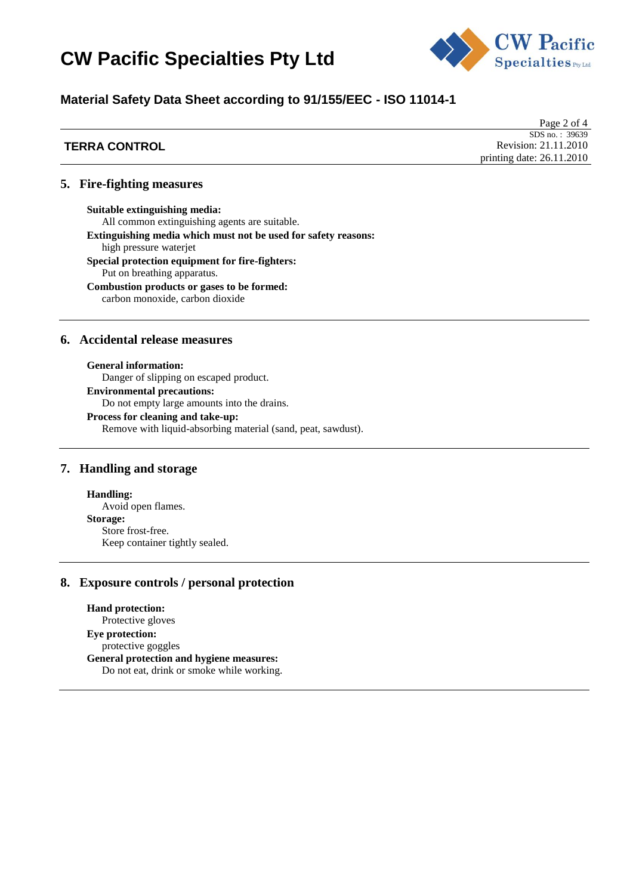

## **Material Safety Data Sheet according to 91/155/EEC - ISO 11014-1**

|                      | Page 2 of 4                 |
|----------------------|-----------------------------|
|                      | SDS no.: $39639$            |
| <b>TERRA CONTROL</b> | Revision: 21.11.2010        |
|                      | printing date: $26.11.2010$ |

#### **5. Fire-fighting measures**

**Suitable extinguishing media:** All common extinguishing agents are suitable. **Extinguishing media which must not be used for safety reasons:** high pressure waterjet **Special protection equipment for fire-fighters:** Put on breathing apparatus. **Combustion products or gases to be formed:** carbon monoxide, carbon dioxide

### **6. Accidental release measures**

**General information:**  Danger of slipping on escaped product. **Environmental precautions:** Do not empty large amounts into the drains. **Process for cleaning and take-up:**  Remove with liquid-absorbing material (sand, peat, sawdust).

### **7. Handling and storage**

**Handling:** Avoid open flames. **Storage:** Store frost-free. Keep container tightly sealed.

## **8. Exposure controls / personal protection**

**Hand protection:**  Protective gloves **Eye protection:**  protective goggles **General protection and hygiene measures:**  Do not eat, drink or smoke while working.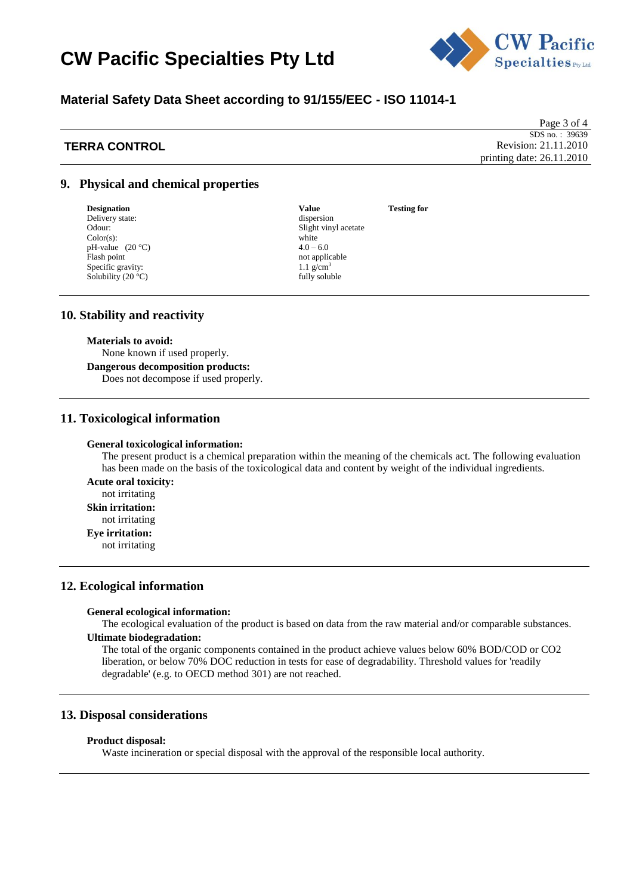

## **Material Safety Data Sheet according to 91/155/EEC - ISO 11014-1**

## **TERRA CONTROL**

Page 3 of 4 SDS no.: 39639 Revision: 21.11.2010 printing date: 26.11.2010

## **9. Physical and chemical properties**

**Designation Value Testing for**<br>Delivery state:  $\qquad \qquad$  **Value** Testing for  $\qquad$  **Testing for** Delivery state: Color(s): white  $pH$ -value  $(20 °C)$   $4.0 - 6.0$ pH-value  $(20 °C)$ <br>Flash point Specific gravity:  $1.1 \text{ g/cm}^3$ <br>Solubility (20 °C) fully soluble Solubility (20 $°C$ )

Odour: Slight vinyl acetate Color(s): Slight vinyl acetate Color(s): not applicable

#### **10. Stability and reactivity**

#### **Materials to avoid:**

None known if used properly.

**Dangerous decomposition products:**  Does not decompose if used properly.

### **11. Toxicological information**

#### **General toxicological information:**

The present product is a chemical preparation within the meaning of the chemicals act. The following evaluation has been made on the basis of the toxicological data and content by weight of the individual ingredients.

**Acute oral toxicity:**  not irritating

**Skin irritation:** 

not irritating

#### **Eye irritation:**

not irritating

### **12. Ecological information**

#### **General ecological information:**

The ecological evaluation of the product is based on data from the raw material and/or comparable substances.

### **Ultimate biodegradation:**

The total of the organic components contained in the product achieve values below 60% BOD/COD or CO2 liberation, or below 70% DOC reduction in tests for ease of degradability. Threshold values for 'readily degradable' (e.g. to OECD method 301) are not reached.

#### **13. Disposal considerations**

#### **Product disposal:**

Waste incineration or special disposal with the approval of the responsible local authority.